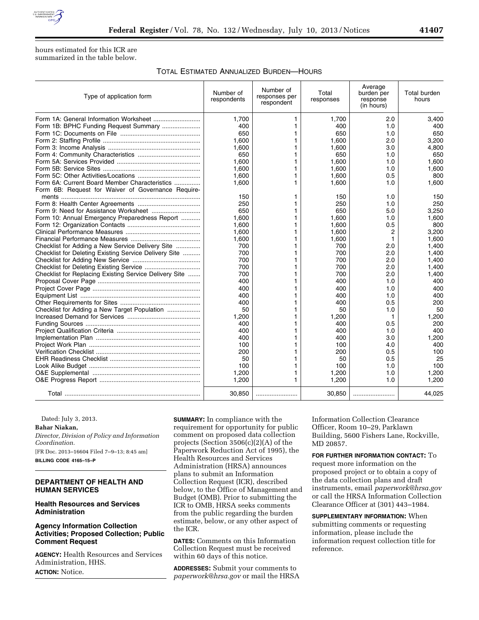

hours estimated for this ICR are summarized in the table below.

## TOTAL ESTIMATED ANNUALIZED BURDEN—HOURS

| Type of application form                               | Number of<br>respondents | Number of<br>responses per<br>respondent | Total<br>responses | Average<br>burden per<br>response<br>(in hours) | Total burden<br>hours |
|--------------------------------------------------------|--------------------------|------------------------------------------|--------------------|-------------------------------------------------|-----------------------|
|                                                        | 1.700                    | 1                                        | 1,700              | 2.0                                             | 3,400                 |
|                                                        | 400                      |                                          | 400                | 1.0                                             | 400                   |
|                                                        | 650                      | 1                                        | 650                | 1.0                                             | 650                   |
|                                                        | 1.600                    | 1                                        | 1,600              | 2.0                                             | 3,200                 |
|                                                        | 1,600                    | 1                                        | 1,600              | 3.0                                             | 4,800                 |
|                                                        | 650                      | 1                                        | 650                | 1.0                                             | 650                   |
|                                                        | 1.600                    | 1                                        | 1.600              | 1.0                                             | 1.600                 |
|                                                        | 1,600                    | 1                                        | 1,600              | 1.0                                             | 1,600                 |
|                                                        | 1.600                    | 1                                        | 1,600              | 0.5                                             | 800                   |
| Form 6A: Current Board Member Characteristics          | 1,600                    | 1                                        | 1,600              | 1.0                                             | 1,600                 |
| Form 6B: Request for Waiver of Governance Require-     |                          |                                          |                    |                                                 |                       |
|                                                        | 150                      | 1                                        | 150                | 1.0                                             | 150                   |
|                                                        | 250                      | 1                                        | 250                | 1.0                                             | 250                   |
|                                                        | 650                      | 1                                        | 650                | 5.0                                             | 3,250                 |
| Form 10: Annual Emergency Preparedness Report          | 1,600                    | 1                                        | 1,600              | 1.0                                             | 1,600                 |
|                                                        | 1.600                    | 1                                        | 1,600              | 0.5                                             | 800                   |
|                                                        | 1,600                    | 1                                        | 1,600              | 2                                               | 3,200                 |
|                                                        | 1,600                    | 1                                        | 1,600              | 1                                               | 1,600                 |
| Checklist for Adding a New Service Delivery Site       | 700                      | 1                                        | 700                | 2.0                                             | 1.400                 |
| Checklist for Deleting Existing Service Delivery Site  | 700                      | 1                                        | 700                | 2.0                                             | 1,400                 |
|                                                        | 700                      | 1                                        | 700                | 2.0                                             | 1,400                 |
|                                                        | 700                      | 1                                        | 700                | 2.0                                             | 1,400                 |
| Checklist for Replacing Existing Service Delivery Site | 700                      | 1                                        | 700                | 2.0                                             | 1,400                 |
|                                                        | 400                      | 1                                        | 400                | 1.0                                             | 400                   |
|                                                        | 400                      | 1                                        | 400                | 1.0                                             | 400                   |
|                                                        | 400                      | 1                                        | 400                | 1.0                                             | 400                   |
|                                                        | 400                      |                                          | 400                | 0.5                                             | 200                   |
| Checklist for Adding a New Target Population           | 50                       | 1                                        | 50                 | 1.0                                             | 50                    |
|                                                        | 1.200                    | 1                                        | 1,200              | 1                                               | 1,200                 |
|                                                        | 400                      |                                          | 400                | 0.5                                             | 200                   |
|                                                        | 400                      | 1                                        | 400                | 1.0                                             | 400                   |
|                                                        | 400                      | 1                                        | 400                | 3.0                                             | 1,200                 |
|                                                        | 100                      |                                          | 100                | 4.0                                             | 400                   |
|                                                        | 200                      | 1                                        | 200                | 0.5                                             | 100                   |
|                                                        | 50                       | 1                                        | 50                 | 0.5                                             | 25                    |
|                                                        | 100                      |                                          | 100                | 1.0                                             | 100                   |
|                                                        | 1,200                    | 1                                        | 1,200              | 1.0                                             | 1,200                 |
|                                                        | 1,200                    | 1                                        | 1,200              | 1.0                                             | 1,200                 |
|                                                        | 30,850                   |                                          | 30,850             |                                                 | 44.025                |

Dated: July 3, 2013.

**Bahar Niakan,** 

*Director, Division of Policy and Information Coordination.* 

[FR Doc. 2013–16604 Filed 7–9–13; 8:45 am]

**BILLING CODE 4165–15–P** 

# **DEPARTMENT OF HEALTH AND HUMAN SERVICES**

## **Health Resources and Services Administration**

# **Agency Information Collection Activities; Proposed Collection; Public Comment Request**

**AGENCY:** Health Resources and Services Administration, HHS. **ACTION:** Notice.

**SUMMARY:** In compliance with the requirement for opportunity for public comment on proposed data collection projects (Section 3506(c)(2)(A) of the Paperwork Reduction Act of 1995), the Health Resources and Services Administration (HRSA) announces plans to submit an Information Collection Request (ICR), described below, to the Office of Management and Budget (OMB). Prior to submitting the ICR to OMB, HRSA seeks comments from the public regarding the burden estimate, below, or any other aspect of the ICR.

**DATES:** Comments on this Information Collection Request must be received within 60 days of this notice.

**ADDRESSES:** Submit your comments to *[paperwork@hrsa.gov](mailto:paperwork@hrsa.gov)* or mail the HRSA Information Collection Clearance Officer, Room 10–29, Parklawn Building, 5600 Fishers Lane, Rockville, MD 20857.

**FOR FURTHER INFORMATION CONTACT:** To request more information on the proposed project or to obtain a copy of the data collection plans and draft instruments, email *[paperwork@hrsa.gov](mailto:paperwork@hrsa.gov)*  or call the HRSA Information Collection Clearance Officer at (301) 443–1984.

**SUPPLEMENTARY INFORMATION:** When submitting comments or requesting information, please include the information request collection title for reference.